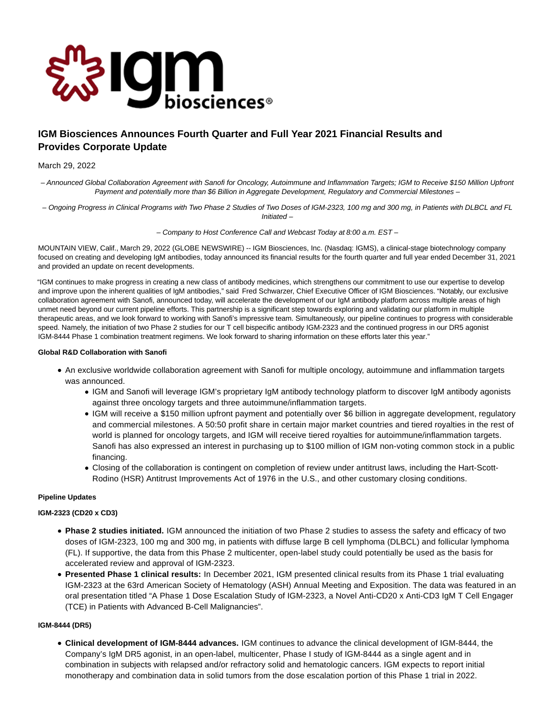

# **IGM Biosciences Announces Fourth Quarter and Full Year 2021 Financial Results and Provides Corporate Update**

# March 29, 2022

– Announced Global Collaboration Agreement with Sanofi for Oncology, Autoimmune and Inflammation Targets; IGM to Receive \$150 Million Upfront Payment and potentially more than \$6 Billion in Aggregate Development, Regulatory and Commercial Milestones –

– Ongoing Progress in Clinical Programs with Two Phase 2 Studies of Two Doses of IGM-2323, 100 mg and 300 mg, in Patients with DLBCL and FL Initiated –

– Company to Host Conference Call and Webcast Today at 8:00 a.m. EST –

MOUNTAIN VIEW, Calif., March 29, 2022 (GLOBE NEWSWIRE) -- IGM Biosciences, Inc. (Nasdaq: IGMS), a clinical-stage biotechnology company focused on creating and developing IgM antibodies, today announced its financial results for the fourth quarter and full year ended December 31, 2021 and provided an update on recent developments.

"IGM continues to make progress in creating a new class of antibody medicines, which strengthens our commitment to use our expertise to develop and improve upon the inherent qualities of IgM antibodies," said Fred Schwarzer, Chief Executive Officer of IGM Biosciences. "Notably, our exclusive collaboration agreement with Sanofi, announced today, will accelerate the development of our IgM antibody platform across multiple areas of high unmet need beyond our current pipeline efforts. This partnership is a significant step towards exploring and validating our platform in multiple therapeutic areas, and we look forward to working with Sanofi's impressive team. Simultaneously, our pipeline continues to progress with considerable speed. Namely, the initiation of two Phase 2 studies for our T cell bispecific antibody IGM-2323 and the continued progress in our DR5 agonist IGM-8444 Phase 1 combination treatment regimens. We look forward to sharing information on these efforts later this year."

# **Global R&D Collaboration with Sanofi**

- An exclusive worldwide collaboration agreement with Sanofi for multiple oncology, autoimmune and inflammation targets was announced.
	- IGM and Sanofi will leverage IGM's proprietary IgM antibody technology platform to discover IgM antibody agonists against three oncology targets and three autoimmune/inflammation targets.
	- IGM will receive a \$150 million upfront payment and potentially over \$6 billion in aggregate development, regulatory and commercial milestones. A 50:50 profit share in certain major market countries and tiered royalties in the rest of world is planned for oncology targets, and IGM will receive tiered royalties for autoimmune/inflammation targets. Sanofi has also expressed an interest in purchasing up to \$100 million of IGM non-voting common stock in a public financing.
	- Closing of the collaboration is contingent on completion of review under antitrust laws, including the Hart-Scott-Rodino (HSR) Antitrust Improvements Act of 1976 in the U.S., and other customary closing conditions.

# **Pipeline Updates**

# **IGM-2323 (CD20 x CD3)**

- **Phase 2 studies initiated.** IGM announced the initiation of two Phase 2 studies to assess the safety and efficacy of two doses of IGM-2323, 100 mg and 300 mg, in patients with diffuse large B cell lymphoma (DLBCL) and follicular lymphoma (FL). If supportive, the data from this Phase 2 multicenter, open-label study could potentially be used as the basis for accelerated review and approval of IGM-2323.
- **Presented Phase 1 clinical results:** In December 2021, IGM presented clinical results from its Phase 1 trial evaluating IGM-2323 at the 63rd American Society of Hematology (ASH) Annual Meeting and Exposition. The data was featured in an oral presentation titled "A Phase 1 Dose Escalation Study of IGM-2323, a Novel Anti-CD20 x Anti-CD3 IgM T Cell Engager (TCE) in Patients with Advanced B-Cell Malignancies".

# **IGM-8444 (DR5)**

**Clinical development of IGM-8444 advances.** IGM continues to advance the clinical development of IGM-8444, the Company's IgM DR5 agonist, in an open-label, multicenter, Phase I study of IGM-8444 as a single agent and in combination in subjects with relapsed and/or refractory solid and hematologic cancers. IGM expects to report initial monotherapy and combination data in solid tumors from the dose escalation portion of this Phase 1 trial in 2022.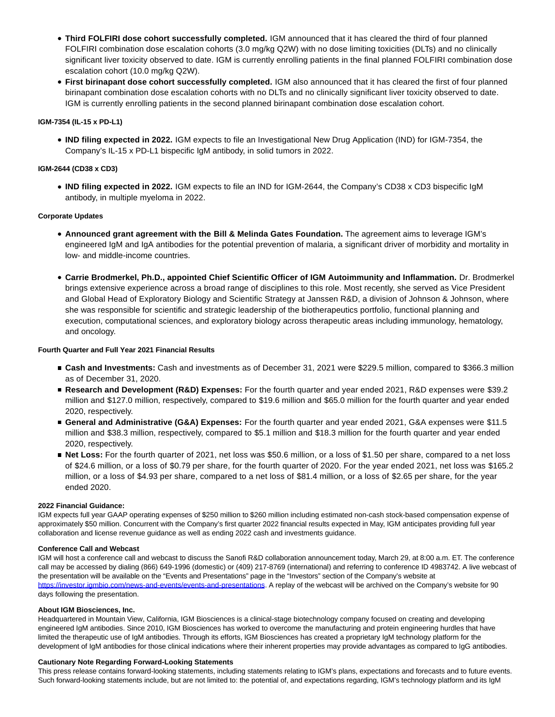- **Third FOLFIRI dose cohort successfully completed.** IGM announced that it has cleared the third of four planned FOLFIRI combination dose escalation cohorts (3.0 mg/kg Q2W) with no dose limiting toxicities (DLTs) and no clinically significant liver toxicity observed to date. IGM is currently enrolling patients in the final planned FOLFIRI combination dose escalation cohort (10.0 mg/kg Q2W).
- **First birinapant dose cohort successfully completed.** IGM also announced that it has cleared the first of four planned birinapant combination dose escalation cohorts with no DLTs and no clinically significant liver toxicity observed to date. IGM is currently enrolling patients in the second planned birinapant combination dose escalation cohort.

# **IGM-7354 (IL-15 x PD-L1)**

**IND filing expected in 2022.** IGM expects to file an Investigational New Drug Application (IND) for IGM-7354, the Company's IL-15 x PD-L1 bispecific IgM antibody, in solid tumors in 2022.

# **IGM-2644 (CD38 x CD3)**

**IND filing expected in 2022.** IGM expects to file an IND for IGM-2644, the Company's CD38 x CD3 bispecific IgM antibody, in multiple myeloma in 2022.

# **Corporate Updates**

- **Announced grant agreement with the Bill & Melinda Gates Foundation.** The agreement aims to leverage IGM's engineered IgM and IgA antibodies for the potential prevention of malaria, a significant driver of morbidity and mortality in low- and middle-income countries.
- **Carrie Brodmerkel, Ph.D., appointed Chief Scientific Officer of IGM Autoimmunity and Inflammation.** Dr. Brodmerkel brings extensive experience across a broad range of disciplines to this role. Most recently, she served as Vice President and Global Head of Exploratory Biology and Scientific Strategy at Janssen R&D, a division of Johnson & Johnson, where she was responsible for scientific and strategic leadership of the biotherapeutics portfolio, functional planning and execution, computational sciences, and exploratory biology across therapeutic areas including immunology, hematology, and oncology.

# **Fourth Quarter and Full Year 2021 Financial Results**

- **Cash and Investments:** Cash and investments as of December 31, 2021 were \$229.5 million, compared to \$366.3 million as of December 31, 2020.
- **Research and Development (R&D) Expenses:** For the fourth quarter and year ended 2021, R&D expenses were \$39.2 million and \$127.0 million, respectively, compared to \$19.6 million and \$65.0 million for the fourth quarter and year ended 2020, respectively.
- **General and Administrative (G&A) Expenses:** For the fourth quarter and year ended 2021, G&A expenses were \$11.5 million and \$38.3 million, respectively, compared to \$5.1 million and \$18.3 million for the fourth quarter and year ended 2020, respectively.
- **Net Loss:** For the fourth quarter of 2021, net loss was \$50.6 million, or a loss of \$1.50 per share, compared to a net loss of \$24.6 million, or a loss of \$0.79 per share, for the fourth quarter of 2020. For the year ended 2021, net loss was \$165.2 million, or a loss of \$4.93 per share, compared to a net loss of \$81.4 million, or a loss of \$2.65 per share, for the year ended 2020.

# **2022 Financial Guidance:**

IGM expects full year GAAP operating expenses of \$250 million to \$260 million including estimated non-cash stock-based compensation expense of approximately \$50 million. Concurrent with the Company's first quarter 2022 financial results expected in May, IGM anticipates providing full year collaboration and license revenue guidance as well as ending 2022 cash and investments guidance.

# **Conference Call and Webcast**

IGM will host a conference call and webcast to discuss the Sanofi R&D collaboration announcement today, March 29, at 8:00 a.m. ET. The conference call may be accessed by dialing (866) 649-1996 (domestic) or (409) 217-8769 (international) and referring to conference ID 4983742. A live webcast of the presentation will be available on the "Events and Presentations" page in the "Investors" section of the Company's website at https://investor.jambio.com/news-and-events/events-and-presentations. A replay of the webcast will be archived on the Company's website for 90 days following the presentation.

# **About IGM Biosciences, Inc.**

Headquartered in Mountain View, California, IGM Biosciences is a clinical-stage biotechnology company focused on creating and developing engineered IgM antibodies. Since 2010, IGM Biosciences has worked to overcome the manufacturing and protein engineering hurdles that have limited the therapeutic use of IgM antibodies. Through its efforts, IGM Biosciences has created a proprietary IgM technology platform for the development of IgM antibodies for those clinical indications where their inherent properties may provide advantages as compared to IgG antibodies.

# **Cautionary Note Regarding Forward-Looking Statements**

This press release contains forward-looking statements, including statements relating to IGM's plans, expectations and forecasts and to future events. Such forward-looking statements include, but are not limited to: the potential of, and expectations regarding, IGM's technology platform and its IgM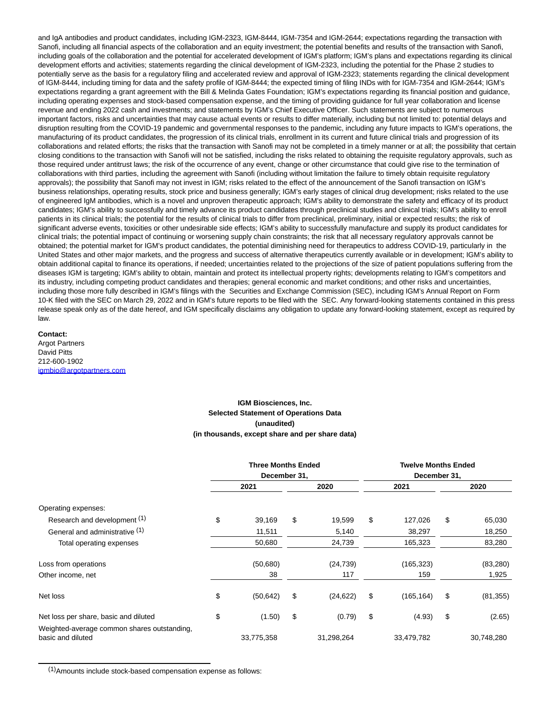and IgA antibodies and product candidates, including IGM-2323, IGM-8444, IGM-7354 and IGM-2644; expectations regarding the transaction with Sanofi, including all financial aspects of the collaboration and an equity investment; the potential benefits and results of the transaction with Sanofi, including goals of the collaboration and the potential for accelerated development of IGM's platform; IGM's plans and expectations regarding its clinical development efforts and activities; statements regarding the clinical development of IGM-2323, including the potential for the Phase 2 studies to potentially serve as the basis for a regulatory filing and accelerated review and approval of IGM-2323; statements regarding the clinical development of IGM-8444, including timing for data and the safety profile of IGM-8444; the expected timing of filing INDs with for IGM-7354 and IGM-2644; IGM's expectations regarding a grant agreement with the Bill & Melinda Gates Foundation; IGM's expectations regarding its financial position and guidance, including operating expenses and stock-based compensation expense, and the timing of providing guidance for full year collaboration and license revenue and ending 2022 cash and investments; and statements by IGM's Chief Executive Officer. Such statements are subject to numerous important factors, risks and uncertainties that may cause actual events or results to differ materially, including but not limited to: potential delays and disruption resulting from the COVID-19 pandemic and governmental responses to the pandemic, including any future impacts to IGM's operations, the manufacturing of its product candidates, the progression of its clinical trials, enrollment in its current and future clinical trials and progression of its collaborations and related efforts; the risks that the transaction with Sanofi may not be completed in a timely manner or at all; the possibility that certain closing conditions to the transaction with Sanofi will not be satisfied, including the risks related to obtaining the requisite regulatory approvals, such as those required under antitrust laws; the risk of the occurrence of any event, change or other circumstance that could give rise to the termination of collaborations with third parties, including the agreement with Sanofi (including without limitation the failure to timely obtain requisite regulatory approvals); the possibility that Sanofi may not invest in IGM; risks related to the effect of the announcement of the Sanofi transaction on IGM's business relationships, operating results, stock price and business generally; IGM's early stages of clinical drug development; risks related to the use of engineered IgM antibodies, which is a novel and unproven therapeutic approach; IGM's ability to demonstrate the safety and efficacy of its product candidates; IGM's ability to successfully and timely advance its product candidates through preclinical studies and clinical trials; IGM's ability to enroll patients in its clinical trials; the potential for the results of clinical trials to differ from preclinical, preliminary, initial or expected results; the risk of significant adverse events, toxicities or other undesirable side effects; IGM's ability to successfully manufacture and supply its product candidates for clinical trials; the potential impact of continuing or worsening supply chain constraints; the risk that all necessary regulatory approvals cannot be obtained; the potential market for IGM's product candidates, the potential diminishing need for therapeutics to address COVID-19, particularly in the United States and other major markets, and the progress and success of alternative therapeutics currently available or in development; IGM's ability to obtain additional capital to finance its operations, if needed; uncertainties related to the projections of the size of patient populations suffering from the diseases IGM is targeting; IGM's ability to obtain, maintain and protect its intellectual property rights; developments relating to IGM's competitors and its industry, including competing product candidates and therapies; general economic and market conditions; and other risks and uncertainties, including those more fully described in IGM's filings with the Securities and Exchange Commission (SEC), including IGM's Annual Report on Form 10-K filed with the SEC on March 29, 2022 and in IGM's future reports to be filed with the SEC. Any forward-looking statements contained in this press release speak only as of the date hereof, and IGM specifically disclaims any obligation to update any forward-looking statement, except as required by law.

#### **Contact:**

Argot Partners David Pitts 212-600-1902 [igmbio@argotpartners.com](mailto:igmbio@argotpartners.com)

# **IGM Biosciences, Inc. Selected Statement of Operations Data (unaudited) (in thousands, except share and per share data)**

|                                                                  | <b>Three Months Ended</b><br>December 31, |            |    | <b>Twelve Months Ended</b><br>December 31, |    |            |    |            |
|------------------------------------------------------------------|-------------------------------------------|------------|----|--------------------------------------------|----|------------|----|------------|
|                                                                  |                                           | 2021       |    | 2020                                       |    | 2021       |    | 2020       |
| Operating expenses:                                              |                                           |            |    |                                            |    |            |    |            |
| Research and development (1)                                     | \$                                        | 39,169     | \$ | 19,599                                     | \$ | 127,026    | \$ | 65,030     |
| General and administrative (1)                                   |                                           | 11,511     |    | 5,140                                      |    | 38,297     |    | 18,250     |
| Total operating expenses                                         |                                           | 50,680     |    | 24,739                                     |    | 165,323    |    | 83,280     |
| Loss from operations                                             |                                           | (50,680)   |    | (24, 739)                                  |    | (165, 323) |    | (83, 280)  |
| Other income, net                                                |                                           | 38         |    | 117                                        |    | 159        |    | 1,925      |
| Net loss                                                         | \$                                        | (50, 642)  | \$ | (24, 622)                                  | \$ | (165, 164) | \$ | (81, 355)  |
| Net loss per share, basic and diluted                            | \$                                        | (1.50)     | \$ | (0.79)                                     | \$ | (4.93)     | \$ | (2.65)     |
| Weighted-average common shares outstanding,<br>basic and diluted |                                           | 33,775,358 |    | 31,298,264                                 |    | 33,479,782 |    | 30,748,280 |

(1)Amounts include stock-based compensation expense as follows: